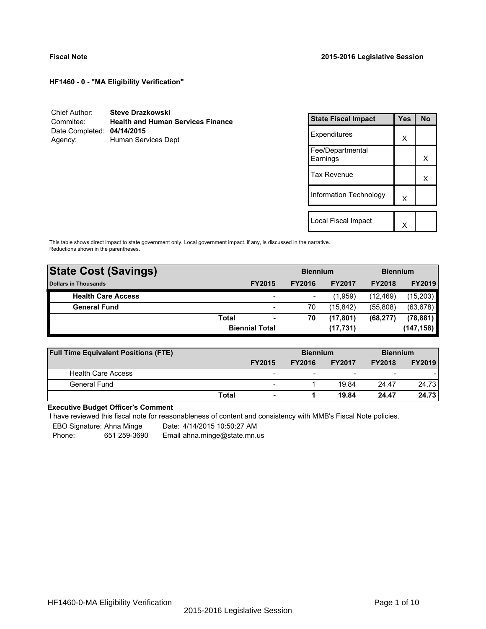**HF1460 - 0 - "MA Eligibility Verification"**

| Chief Author:              | <b>Steve Drazkowski</b>                  |
|----------------------------|------------------------------------------|
| Commitee:                  | <b>Health and Human Services Finance</b> |
| Date Completed: 04/14/2015 |                                          |
| Agency:                    | Human Services Dept                      |

| <b>State Fiscal Impact</b>   | Yes | <b>No</b> |
|------------------------------|-----|-----------|
| Expenditures                 | X   |           |
| Fee/Departmental<br>Earnings |     | x         |
| <b>Tax Revenue</b>           |     | x         |
| Information Technology       | X   |           |
| Local Fiscal Impact          |     |           |
|                              |     |           |

This table shows direct impact to state government only. Local government impact. if any, is discussed in the narrative. Reductions shown in the parentheses.

| <b>State Cost (Savings)</b> |                       | <b>Biennium</b>          |               |               | <b>Biennium</b> |               |  |
|-----------------------------|-----------------------|--------------------------|---------------|---------------|-----------------|---------------|--|
| Dollars in Thousands        | <b>FY2015</b>         |                          | <b>FY2016</b> | <b>FY2017</b> | <b>FY2018</b>   | <b>FY2019</b> |  |
| <b>Health Care Access</b>   |                       |                          |               | (1,959)       | (12, 469)       | (15,203)      |  |
| <b>General Fund</b>         |                       | $\overline{\phantom{0}}$ | 70            | (15, 842)     | (55,808)        | (63, 678)     |  |
|                             | <b>Total</b>          | $\overline{\phantom{0}}$ | 70            | (17, 801)     | (68, 277)       | (78, 881)     |  |
|                             | <b>Biennial Total</b> |                          |               | (17, 731)     |                 | (147, 158)    |  |
|                             |                       |                          |               |               |                 |               |  |

| <b>Full Time Equivalent Positions (FTE)</b> |       |                          | <b>Biennium</b> |                          | <b>Biennium</b>          |               |
|---------------------------------------------|-------|--------------------------|-----------------|--------------------------|--------------------------|---------------|
|                                             |       | <b>FY2015</b>            | <b>FY2016</b>   | <b>FY2017</b>            | <b>FY2018</b>            | <b>FY2019</b> |
| <b>Health Care Access</b>                   |       | $\overline{\phantom{a}}$ | -               | $\overline{\phantom{a}}$ | $\overline{\phantom{0}}$ |               |
| General Fund                                |       | $\overline{\phantom{a}}$ |                 | 19.84                    | 24.47                    | 24.73         |
|                                             | Total |                          |                 | 19.84                    | 24.47                    | 24.73         |

# **Executive Budget Officer's Comment**

I have reviewed this fiscal note for reasonableness of content and consistency with MMB's Fiscal Note policies.

EBO Signature: Ahna Minge Date: 4/14/2015 10:50:27 AM<br>Phone: 651 259-3690 Email ahna.minge@state.mn.u Phone: 651 259-3690 Email ahna.minge@state.mn.us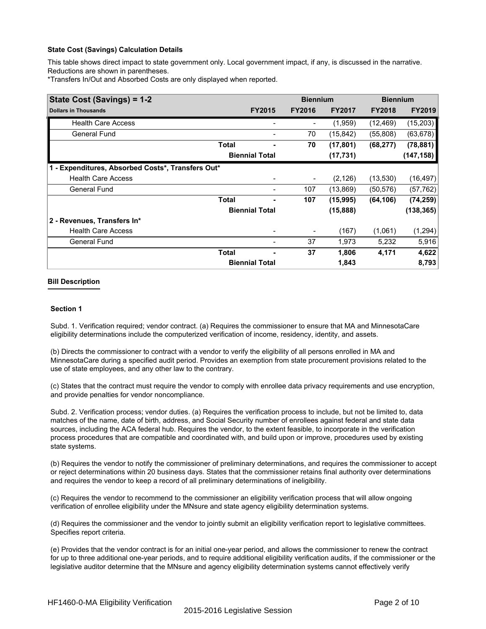# **State Cost (Savings) Calculation Details**

This table shows direct impact to state government only. Local government impact, if any, is discussed in the narrative. Reductions are shown in parentheses.

\*Transfers In/Out and Absorbed Costs are only displayed when reported.

| State Cost (Savings) = 1-2                        |              |                              | <b>Biennium</b> |               | <b>Biennium</b> |               |
|---------------------------------------------------|--------------|------------------------------|-----------------|---------------|-----------------|---------------|
| <b>Dollars in Thousands</b>                       |              | <b>FY2015</b>                | <b>FY2016</b>   | <b>FY2017</b> | <b>FY2018</b>   | <b>FY2019</b> |
| <b>Health Care Access</b>                         |              |                              | -               | (1,959)       | (12, 469)       | (15,203)      |
| <b>General Fund</b>                               |              |                              | 70              | (15, 842)     | (55,808)        | (63, 678)     |
|                                                   | Total        | ۰                            | 70              | (17, 801)     | (68, 277)       | (78, 881)     |
|                                                   |              | <b>Biennial Total</b>        |                 | (17, 731)     |                 | (147, 158)    |
| 1 - Expenditures, Absorbed Costs*, Transfers Out* |              |                              |                 |               |                 |               |
| <b>Health Care Access</b>                         |              |                              |                 | (2, 126)      | (13,530)        | (16, 497)     |
| General Fund                                      |              |                              | 107             | (13, 869)     | (50, 576)       | (57, 762)     |
|                                                   | <b>Total</b> |                              | 107             | (15, 995)     | (64, 106)       | (74, 259)     |
|                                                   |              | <b>Biennial Total</b>        |                 | (15, 888)     |                 | (138, 365)    |
| 2 - Revenues, Transfers In*                       |              |                              |                 |               |                 |               |
| <b>Health Care Access</b>                         |              | $\qquad \qquad \blacksquare$ |                 | (167)         | (1,061)         | (1, 294)      |
| <b>General Fund</b>                               |              |                              | 37              | 1,973         | 5,232           | 5,916         |
|                                                   | Total        |                              | 37              | 1,806         | 4,171           | 4,622         |
|                                                   |              | <b>Biennial Total</b>        |                 | 1,843         |                 | 8,793         |

# **Bill Description**

#### **Section 1**

Subd. 1. Verification required; vendor contract. (a) Requires the commissioner to ensure that MA and MinnesotaCare eligibility determinations include the computerized verification of income, residency, identity, and assets.

(b) Directs the commissioner to contract with a vendor to verify the eligibility of all persons enrolled in MA and MinnesotaCare during a specified audit period. Provides an exemption from state procurement provisions related to the use of state employees, and any other law to the contrary.

(c) States that the contract must require the vendor to comply with enrollee data privacy requirements and use encryption, and provide penalties for vendor noncompliance.

Subd. 2. Verification process; vendor duties. (a) Requires the verification process to include, but not be limited to, data matches of the name, date of birth, address, and Social Security number of enrollees against federal and state data sources, including the ACA federal hub. Requires the vendor, to the extent feasible, to incorporate in the verification process procedures that are compatible and coordinated with, and build upon or improve, procedures used by existing state systems.

(b) Requires the vendor to notify the commissioner of preliminary determinations, and requires the commissioner to accept or reject determinations within 20 business days. States that the commissioner retains final authority over determinations and requires the vendor to keep a record of all preliminary determinations of ineligibility.

(c) Requires the vendor to recommend to the commissioner an eligibility verification process that will allow ongoing verification of enrollee eligibility under the MNsure and state agency eligibility determination systems.

(d) Requires the commissioner and the vendor to jointly submit an eligibility verification report to legislative committees. Specifies report criteria.

(e) Provides that the vendor contract is for an initial one-year period, and allows the commissioner to renew the contract for up to three additional one-year periods, and to require additional eligibility verification audits, if the commissioner or the legislative auditor determine that the MNsure and agency eligibility determination systems cannot effectively verify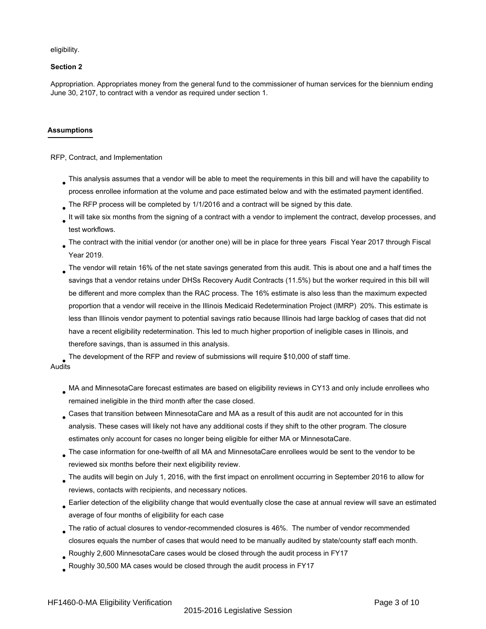#### eligibility.

#### **Section 2**

Appropriation. Appropriates money from the general fund to the commissioner of human services for the biennium ending June 30, 2107, to contract with a vendor as required under section 1.

# **Assumptions**

- RFP, Contract, and Implementation
	- $_{\bullet}$  This analysis assumes that a vendor will be able to meet the requirements in this bill and will have the capability to process enrollee information at the volume and pace estimated below and with the estimated payment identified.
	- The RFP process will be completed by 1/1/2016 and a contract will be signed by this date. ●
	- It will take six months from the signing of a contract with a vendor to implement the contract, develop processes, and test workflows. ●
	- The contract with the initial vendor (or another one) will be in place for three years Fiscal Year 2017 through Fiscal Year 2019. ●
	- $_{\bullet}$  The vendor will retain 16% of the net state savings generated from this audit. This is about one and a half times the savings that a vendor retains under DHSs Recovery Audit Contracts (11.5%) but the worker required in this bill will be different and more complex than the RAC process. The 16% estimate is also less than the maximum expected proportion that a vendor will receive in the Illinois Medicaid Redetermination Project (IMRP) 20%. This estimate is less than Illinois vendor payment to potential savings ratio because Illinois had large backlog of cases that did not have a recent eligibility redetermination. This led to much higher proportion of ineligible cases in Illinois, and therefore savings, than is assumed in this analysis.

The development of the RFP and review of submissions will require \$10,000 of staff time. ● Audits

- $_{\bullet}$  MA and MinnesotaCare forecast estimates are based on eligibility reviews in CY13 and only include enrollees who remained ineligible in the third month after the case closed.
- $_{\bullet}$  Cases that transition between MinnesotaCare and MA as a result of this audit are not accounted for in this analysis. These cases will likely not have any additional costs if they shift to the other program. The closure estimates only account for cases no longer being eligible for either MA or MinnesotaCare.
- The case information for one-twelfth of all MA and MinnesotaCare enrollees would be sent to the vendor to be reviewed six months before their next eligibility review. ●
- The audits will begin on July 1, 2016, with the first impact on enrollment occurring in September 2016 to allow for reviews, contacts with recipients, and necessary notices. ●
- Earlier detection of the eligibility change that would eventually close the case at annual review will save an estimated average of four months of eligibility for each case ●
- The ratio of actual closures to vendor-recommended closures is 46%. The number of vendor recommended closures equals the number of cases that would need to be manually audited by state/county staff each month. ●
- Roughly 2,600 MinnesotaCare cases would be closed through the audit process in FY17 ●
- $_{\bullet}$  Roughly 30,500 MA cases would be closed through the audit process in FY17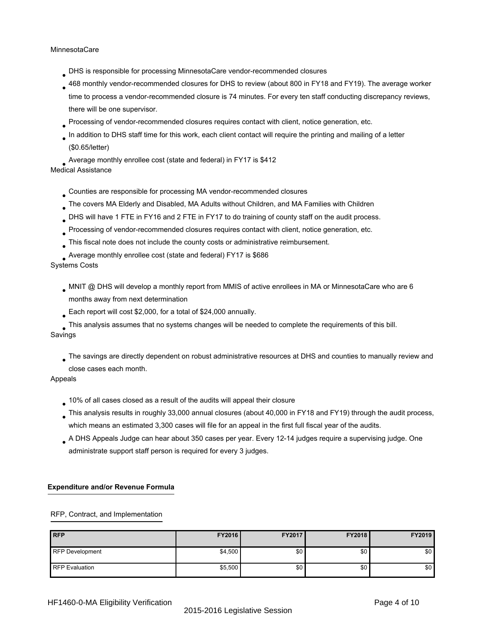# MinnesotaCare

- $_{\bullet}$  DHS is responsible for processing MinnesotaCare vendor-recommended closures
- 468 monthly vendor-recommended closures for DHS to review (about 800 in FY18 and FY19). The average worker time to process a vendor-recommended closure is 74 minutes. For every ten staff conducting discrepancy reviews, there will be one supervisor. ●
- Processing of vendor-recommended closures requires contact with client, notice generation, etc. ●
- In addition to DHS staff time for this work, each client contact will require the printing and mailing of a letter (\$0.65/letter) ●

 $_{\bullet}$  Average monthly enrollee cost (state and federal) in FY17 is \$412  $\,$ Medical Assistance

- $_{\bullet}$  Counties are responsible for processing MA vendor-recommended closures
- The covers MA Elderly and Disabled, MA Adults without Children, and MA Families with Children ●
- DHS will have 1 FTE in FY16 and 2 FTE in FY17 to do training of county staff on the audit process. ●
- Processing of vendor-recommended closures requires contact with client, notice generation, etc. ●
- This fiscal note does not include the county costs or administrative reimbursement. ●
- $_{\bullet}$  Average monthly enrollee cost (state and federal) FY17 is \$686

# Systems Costs

- $_{\bullet}$  MNIT @ DHS will develop a monthly report from MMIS of active enrollees in MA or MinnesotaCare who are 6 months away from next determination
- $_{\bullet}$  Each report will cost \$2,000, for a total of \$24,000 annually.
- This analysis assumes that no systems changes will be needed to complete the requirements of this bill. Savings
	- $_{\bullet}$  The savings are directly dependent on robust administrative resources at DHS and counties to manually review and close cases each month.

# Appeals

- $_{\bullet}$  10% of all cases closed as a result of the audits will appeal their closure
- $_{\bullet}$  This analysis results in roughly 33,000 annual closures (about 40,000 in FY18 and FY19) through the audit process, which means an estimated 3,300 cases will file for an appeal in the first full fiscal year of the audits.
- $_{\bullet}$  A DHS Appeals Judge can hear about 350 cases per year. Every 12-14 judges require a supervising judge. One administrate support staff person is required for every 3 judges.

# **Expenditure and/or Revenue Formula**

# RFP, Contract, and Implementation

| <b>RFP</b>             | <b>FY2016</b> | <b>FY2017</b> | <b>FY2018</b> | FY2019 |
|------------------------|---------------|---------------|---------------|--------|
| <b>RFP Development</b> | \$4,500       | \$0           | \$0           | \$0    |
| <b>RFP Evaluation</b>  | \$5,500       | \$0           | \$0           | \$0    |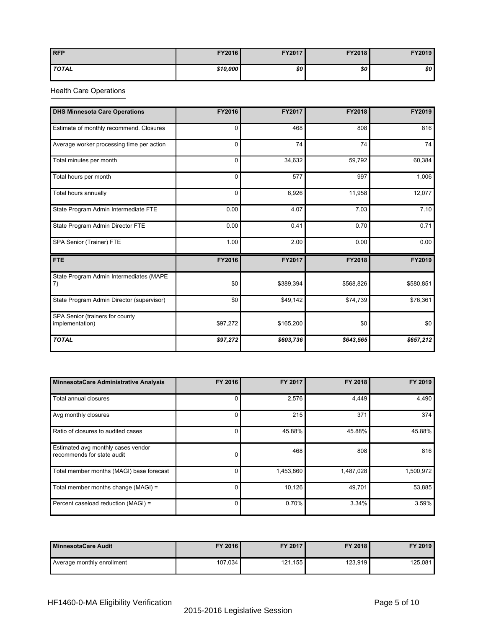| l RFP        | <b>FY2016</b> | <b>FY2017</b> | <b>FY2018</b> | FY2019 |
|--------------|---------------|---------------|---------------|--------|
| <b>TOTAL</b> | \$10,000      | \$0           | \$0\$         | \$0    |

Health Care Operations

| <b>DHS Minnesota Care Operations</b>               | FY2016   | FY2017    | FY2018    | FY2019    |
|----------------------------------------------------|----------|-----------|-----------|-----------|
| Estimate of monthly recommend. Closures            | 0        | 468       | 808       | 816       |
| Average worker processing time per action          | 0        | 74        | 74        | 74        |
| Total minutes per month                            | $\Omega$ | 34,632    | 59,792    | 60,384    |
| Total hours per month                              | 0        | 577       | 997       | 1,006     |
| Total hours annually                               | $\Omega$ | 6,926     | 11,958    | 12,077    |
| State Program Admin Intermediate FTE               | 0.00     | 4.07      | 7.03      | 7.10      |
| State Program Admin Director FTE                   | 0.00     | 0.41      | 0.70      | 0.71      |
| SPA Senior (Trainer) FTE                           | 1.00     | 2.00      | 0.00      | 0.00      |
| <b>FTE</b>                                         | FY2016   | FY2017    | FY2018    | FY2019    |
| State Program Admin Intermediates (MAPE<br>7)      | \$0      | \$389,394 | \$568,826 | \$580,851 |
| State Program Admin Director (supervisor)          | \$0      | \$49,142  | \$74,739  | \$76,361  |
| SPA Senior (trainers for county<br>implementation) | \$97,272 | \$165,200 | \$0       | \$0       |
| <b>TOTAL</b>                                       | \$97,272 | \$603,736 | \$643,565 | \$657,212 |

| MinnesotaCare Administrative Analysis                            | FY 2016  | FY 2017   | FY 2018   | FY 2019   |
|------------------------------------------------------------------|----------|-----------|-----------|-----------|
| Total annual closures                                            | $\Omega$ | 2,576     | 4,449     | 4.490     |
| Avg monthly closures                                             | 0        | 215       | 371       | 374       |
| Ratio of closures to audited cases                               | $\Omega$ | 45.88%    | 45.88%    | 45.88%    |
| Estimated avg monthly cases vendor<br>recommends for state audit | 0        | 468       | 808       | 816       |
| Total member months (MAGI) base forecast                         | 0        | 1,453,860 | 1,487,028 | 1,500,972 |
| Total member months change (MAGI) =                              | $\Omega$ | 10,126    | 49,701    | 53,885    |
| Percent caseload reduction (MAGI) =                              | 0        | 0.70%     | 3.34%     | 3.59%     |

| <b>MinnesotaCare Audit</b> | <b>FY 2016</b> | <b>FY 2017</b> | FY 2018 | FY 2019 |
|----------------------------|----------------|----------------|---------|---------|
| Average monthly enrollment | 107,034        | 121,155        | 123,919 | 125,081 |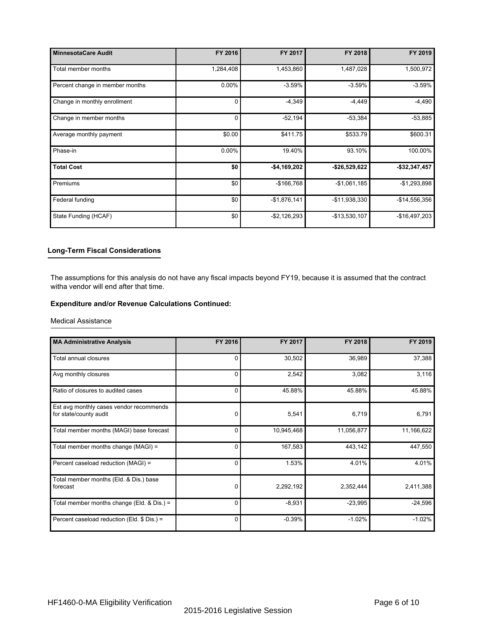| <b>MinnesotaCare Audit</b>      | FY 2016     | FY 2017       | FY 2018        | FY 2019        |
|---------------------------------|-------------|---------------|----------------|----------------|
| Total member months             | 1,284,408   | 1,453,860     | 1,487,028      | 1,500,972      |
| Percent change in member months | $0.00\%$    | $-3.59%$      | $-3.59%$       | $-3.59%$       |
| Change in monthly enrollment    | $\mathbf 0$ | $-4,349$      | $-4,449$       | $-4,490$       |
| Change in member months         | 0           | $-52,194$     | $-53,384$      | $-53,885$      |
| Average monthly payment         | \$0.00      | \$411.75      | \$533.79       | \$600.31       |
| Phase-in                        | $0.00\%$    | 19.40%        | 93.10%         | 100.00%        |
| <b>Total Cost</b>               | \$0         | $-$4,169,202$ | -\$26,529,622  | $-$32,347,457$ |
| Premiums                        | \$0         | $-$166,768$   | $-$1,061,185$  | $-$1,293,898$  |
| Federal funding                 | \$0         | $-$1,876,141$ | $-$11,938,330$ | $-$14,556,356$ |
| State Funding (HCAF)            | \$0         | $-$2,126,293$ | $-$13,530,107$ | $-$16,497,203$ |

# **Long-Term Fiscal Considerations**

The assumptions for this analysis do not have any fiscal impacts beyond FY19, because it is assumed that the contract witha vendor will end after that time.

# **Expenditure and/or Revenue Calculations Continued:**

# Medical Assistance

| <b>MA Administrative Analysis</b>                                 | FY 2016  | FY 2017    | FY 2018    | FY 2019    |
|-------------------------------------------------------------------|----------|------------|------------|------------|
| Total annual closures                                             | 0        | 30,502     | 36,989     | 37,388     |
| Avg monthly closures                                              | 0        | 2,542      | 3,082      | 3,116      |
| Ratio of closures to audited cases                                | 0        | 45.88%     | 45.88%     | 45.88%     |
| Est avg monthly cases vendor recommends<br>for state/county audit | 0        | 5,541      | 6,719      | 6,791      |
| Total member months (MAGI) base forecast                          | $\Omega$ | 10,945,468 | 11,056,877 | 11,166,622 |
| Total member months change (MAGI) =                               | $\Omega$ | 167,583    | 443,142    | 447,550    |
| Percent caseload reduction (MAGI) =                               | 0        | 1.53%      | 4.01%      | 4.01%      |
| Total member months (Eld. & Dis.) base<br>forecast                | 0        | 2,292,192  | 2,352,444  | 2,411,388  |
| Total member months change (Eld. & Dis.) =                        | 0        | $-8,931$   | $-23,995$  | $-24,596$  |
| Percent caseload reduction (Eld. \$ Dis.) =                       | 0        | $-0.39%$   | $-1.02%$   | $-1.02%$   |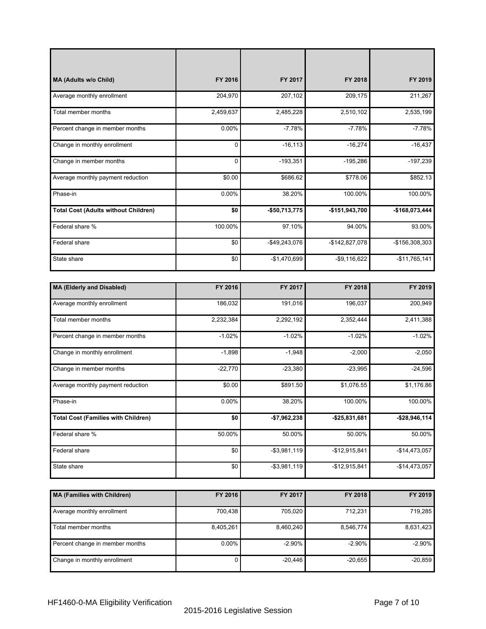| <b>MA (Adults w/o Child)</b>                | FY 2016     | FY 2017         | FY 2018         | FY 2019          |
|---------------------------------------------|-------------|-----------------|-----------------|------------------|
| Average monthly enrollment                  | 204,970     | 207,102         | 209,175         | 211,267          |
| Total member months                         | 2,459,637   | 2,485,228       | 2,510,102       | 2,535,199        |
| Percent change in member months             | 0.00%       | $-7.78%$        | $-7.78%$        | $-7.78%$         |
| Change in monthly enrollment                | $\mathsf 0$ | $-16, 113$      | $-16,274$       | $-16,437$        |
| Change in member months                     | 0           | $-193,351$      | $-195,286$      | $-197,239$       |
| Average monthly payment reduction           | \$0.00      | \$686.62        | \$778.06        | \$852.13         |
| Phase-in                                    | 0.00%       | 38.20%          | 100.00%         | 100.00%          |
| <b>Total Cost (Adults without Children)</b> | \$0         | -\$50,713,775   | -\$151,943,700  | -\$168,073,444   |
| Federal share %                             | 100.00%     | 97.10%          | 94.00%          | 93.00%           |
| Federal share                               | \$0         | -\$49,243,076   | $-$142,827,078$ | -\$156,308,303   |
| State share                                 | \$0         | $-$1,470,699$   | $-$9,116,622$   | $-$11,765,141$   |
|                                             |             |                 |                 |                  |
| <b>MA (Elderly and Disabled)</b>            | FY 2016     | FY 2017         | FY 2018         | FY 2019          |
| Average monthly enrollment                  | 186,032     | 191,016         | 196,037         | 200,949          |
| Total member months                         | 2,232,384   | 2,292,192       | 2,352,444       | 2,411,388        |
| Percent change in member months             | $-1.02%$    | $-1.02%$        | $-1.02%$        | $-1.02%$         |
| Change in monthly enrollment                | $-1,898$    | $-1,948$        | $-2,000$        | $-2,050$         |
| Change in member months                     | $-22,770$   | $-23,380$       | $-23,995$       | $-24,596$        |
| Average monthly payment reduction           | \$0.00      | \$891.50        | \$1,076.55      | \$1,176.86       |
| Phase-in                                    | $0.00\%$    | 38.20%          | 100.00%         | 100.00%          |
| <b>Total Cost (Families with Children)</b>  | \$0         | -\$7,962,238    | -\$25,831,681   | $-$ \$28,946,114 |
| Federal share %                             | 50.00%      | 50.00%          | 50.00%          | 50.00%           |
| Federal share                               | \$0         | $-$ \$3,981,119 | $-$12,915,841$  | $-$14,473,057$   |
| State share                                 | \$0         | $-$ \$3,981,119 | $-$12,915,841$  | $-$ \$14,473,057 |

| MA (Families with Children)     | FY 2016    | FY 2017   | FY 2018   | FY 2019   |
|---------------------------------|------------|-----------|-----------|-----------|
| Average monthly enrollment      | 700.438    | 705.020   | 712,231   | 719,285   |
| Total member months             | 8,405,261  | 8,460,240 | 8,546,774 | 8,631,423 |
| Percent change in member months | $0.00\%$   | $-2.90\%$ | $-2.90\%$ | $-2.90\%$ |
| Change in monthly enrollment    | $^{\rm o}$ | $-20.446$ | $-20.655$ | $-20.859$ |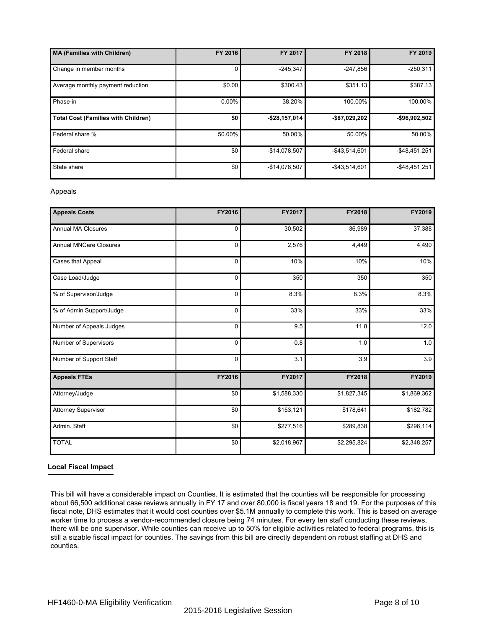| <b>MA (Families with Children)</b>         | FY 2016  | FY 2017        | FY 2018        | FY 2019          |
|--------------------------------------------|----------|----------------|----------------|------------------|
| Change in member months                    | 0        | $-245,347$     | $-247,856$     | $-250,311$       |
| Average monthly payment reduction          | \$0.00   | \$300.43       | \$351.13       | \$387.13         |
| Phase-in                                   | $0.00\%$ | 38.20%         | 100.00%        | 100.00%          |
| <b>Total Cost (Families with Children)</b> | \$0      | $-$28,157,014$ | -\$87,029,202  | $-$ \$96,902,502 |
| Federal share %                            | 50.00%   | 50.00%         | 50.00%         | 50.00%           |
| Federal share                              | \$0      | $-$14,078,507$ | $-$43,514,601$ | $-$48,451,251$   |
| State share                                | \$0      | $-$14,078,507$ | $-$43,514,601$ | $-$48,451,251$   |

# Appeals

| <b>Appeals Costs</b>          | FY2016      | FY2017      | FY2018      | FY2019      |
|-------------------------------|-------------|-------------|-------------|-------------|
| <b>Annual MA Closures</b>     | $\mathbf 0$ | 30,502      | 36,989      | 37,388      |
| <b>Annual MNCare Closures</b> | 0           | 2,576       | 4,449       | 4,490       |
| Cases that Appeal             | 0           | 10%         | 10%         | 10%         |
| Case Load/Judge               | 0           | 350         | 350         | 350         |
| % of Supervisor/Judge         | 0           | 8.3%        | 8.3%        | 8.3%        |
| % of Admin Support/Judge      | 0           | 33%         | 33%         | 33%         |
| Number of Appeals Judges      | 0           | 9.5         | 11.8        | 12.0        |
| Number of Supervisors         | 0           | 0.8         | 1.0         | 1.0         |
| Number of Support Staff       | 0           | 3.1         | 3.9         | 3.9         |
| <b>Appeals FTEs</b>           | FY2016      | FY2017      | FY2018      | FY2019      |
| Attorney/Judge                | \$0         | \$1,588,330 | \$1,827,345 | \$1,869,362 |
| <b>Attorney Supervisor</b>    | \$0         | \$153,121   | \$178,641   | \$182,782   |
| Admin. Staff                  | \$0         | \$277,516   | \$289,838   | \$296,114   |
| <b>TOTAL</b>                  | \$0         | \$2,018,967 | \$2,295,824 | \$2,348,257 |

# **Local Fiscal Impact**

This bill will have a considerable impact on Counties. It is estimated that the counties will be responsible for processing about 66,500 additional case reviews annually in FY 17 and over 80,000 is fiscal years 18 and 19. For the purposes of this fiscal note, DHS estimates that it would cost counties over \$5.1M annually to complete this work. This is based on average worker time to process a vendor-recommended closure being 74 minutes. For every ten staff conducting these reviews, there will be one supervisor. While counties can receive up to 50% for eligible activities related to federal programs, this is still a sizable fiscal impact for counties. The savings from this bill are directly dependent on robust staffing at DHS and counties.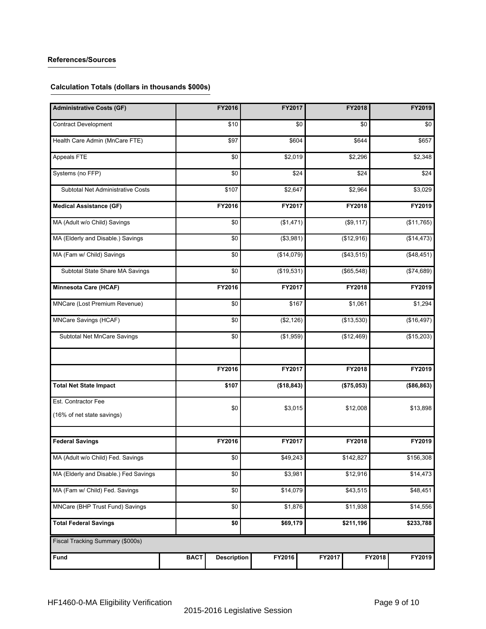# **References/Sources**

# **Calculation Totals (dollars in thousands \$000s)**

| <b>Administrative Costs (GF)</b>      |             | FY2016             | FY2017     |        | FY2018     | FY2019      |
|---------------------------------------|-------------|--------------------|------------|--------|------------|-------------|
| <b>Contract Development</b>           |             | \$10               |            | \$0    | \$0        | \$0         |
| Health Care Admin (MnCare FTE)        |             | \$97               | \$604      |        | \$644      | \$657       |
| Appeals FTE                           |             | \$0                | \$2,019    |        | \$2,296    | \$2,348     |
| Systems (no FFP)                      |             | \$0                | \$24       |        | \$24       | \$24        |
| Subtotal Net Administrative Costs     |             | \$107              | \$2,647    |        | \$2,964    | \$3,029     |
| <b>Medical Assistance (GF)</b>        |             | FY2016             | FY2017     |        | FY2018     | FY2019      |
| MA (Adult w/o Child) Savings          |             | \$0                | (\$1,471)  |        | (\$9,117)  | (\$11,765)  |
| MA (Elderly and Disable.) Savings     |             | \$0                | (\$3,981)  |        | (\$12,916) | (\$14, 473) |
| MA (Fam w/ Child) Savings             |             | \$0                | (\$14,079) |        | (\$43,515) | (\$48,451)  |
| Subtotal State Share MA Savings       |             | \$0                | (\$19,531) |        | (\$65,548) | (\$74,689)  |
| Minnesota Care (HCAF)                 |             | FY2016             | FY2017     |        | FY2018     | FY2019      |
| MNCare (Lost Premium Revenue)         |             | \$0                | \$167      |        | \$1,061    | \$1,294     |
| MNCare Savings (HCAF)                 |             | \$0                | (\$2, 126) |        | (\$13,530) | (\$16,497)  |
| Subtotal Net MnCare Savings           |             | \$0                | (\$1,959)  |        | (\$12,469) | (\$15,203)  |
|                                       |             |                    |            |        |            |             |
|                                       |             | FY2016             | FY2017     |        | FY2018     | FY2019      |
| <b>Total Net State Impact</b>         |             | \$107              | (\$18,843) |        | (\$75,053) | (\$86, 863) |
| Est. Contractor Fee                   |             | \$0                | \$3,015    |        | \$12,008   | \$13,898    |
| (16% of net state savings)            |             |                    |            |        |            |             |
| <b>Federal Savings</b>                |             | FY2016             | FY2017     |        | FY2018     | FY2019      |
| MA (Adult w/o Child) Fed. Savings     |             | \$0                | \$49,243   |        | \$142,827  | \$156,308   |
| MA (Elderly and Disable.) Fed Savings |             | \$0                | \$3,981    |        | \$12,916   | \$14,473    |
| MA (Fam w/ Child) Fed. Savings        |             | \$0                | \$14,079   |        | \$43,515   | \$48,451    |
| MNCare (BHP Trust Fund) Savings       |             | \$0                | \$1,876    |        | \$11,938   | \$14,556    |
| <b>Total Federal Savings</b>          |             | \$0                | \$69,179   |        | \$211,196  | \$233,788   |
|                                       |             |                    |            |        |            |             |
| Fiscal Tracking Summary (\$000s)      |             |                    |            |        |            |             |
| Fund                                  | <b>BACT</b> | <b>Description</b> | FY2016     | FY2017 | FY2018     | FY2019      |